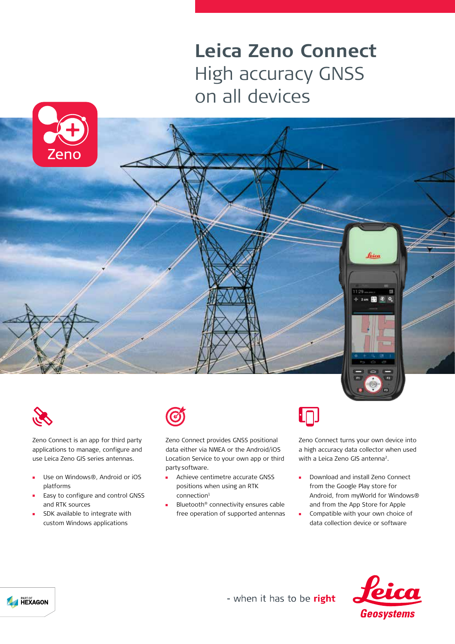## **Leica Zeno Connect** High accuracy GNSS on all devices







Zeno Connect is an app for third party applications to manage, configure and use Leica Zeno GIS series antennas.

- Use on Windows®, Android or iOS  $\blacksquare$ platforms
- Easy to configure and control GNSS and RTK sources
- SDK available to integrate with custom Windows applications



Zeno Connect provides GNSS positional data either via NMEA or the Android/iOS Location Service to your own app or third party software.

- Achieve centimetre accurate GNSS  $\mathbf{r}$ positions when using an RTK  $connection<sup>1</sup>$
- Bluetooth® connectivity ensures cable free operation of supported antennas



Zeno Connect turns your own device into a high accuracy data collector when used with a Leica Zeno GIS antenna<sup>2</sup>.

- $\blacksquare$ Download and install Zeno Connect from the Google Play store for Android, from myWorld for Windows® and from the App Store for Apple
- Compatible with your own choice of 'n. data collection device or software





- when it has to be right